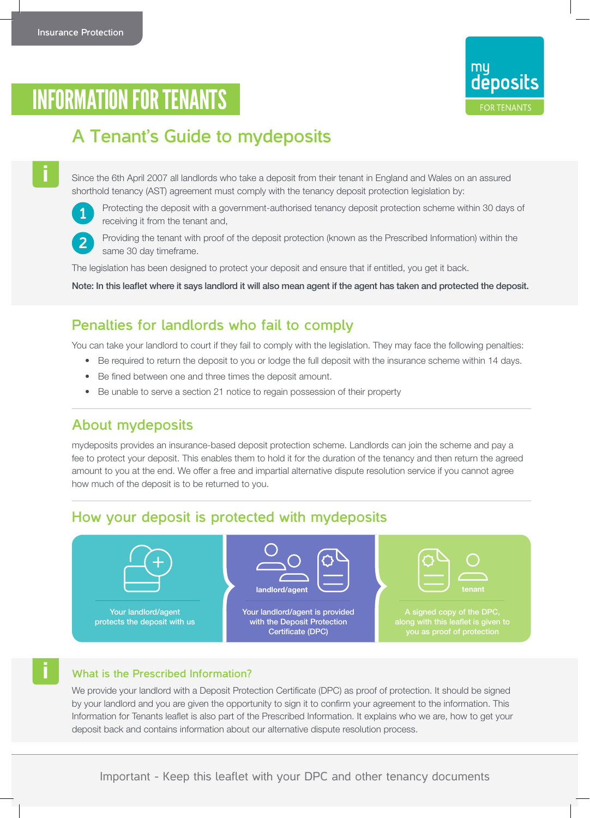

# INFORMATION FOR TENANTS

## **A Tenant's Guide to mydeposits**

Since the 6th April 2007 all landlords who take a deposit from their tenant in England and Wales on an assured shorthold tenancy (AST) agreement must comply with the tenancy deposit protection legislation by:



**i**

**i**

**2**

 Protecting the deposit with a government-authorised tenancy deposit protection scheme within 30 days of receiving it from the tenant and,



 Providing the tenant with proof of the deposit protection (known as the Prescribed Information) within the same 30 day timeframe.

The legislation has been designed to protect your deposit and ensure that if entitled, you get it back.

Note: In this leaflet where it says landlord it will also mean agent if the agent has taken and protected the deposit.

#### **Penalties for landlords who fail to comply**

You can take your landlord to court if they fail to comply with the legislation. They may face the following penalties:

- Be required to return the deposit to you or lodge the full deposit with the insurance scheme within 14 days.
- Be fined between one and three times the deposit amount.
- Be unable to serve a section 21 notice to regain possession of their property

#### **About mydeposits**

mydeposits provides an insurance-based deposit protection scheme. Landlords can join the scheme and pay a fee to protect your deposit. This enables them to hold it for the duration of the tenancy and then return the agreed amount to you at the end. We offer a free and impartial alternative dispute resolution service if you cannot agree how much of the deposit is to be returned to you.

#### **How your deposit is protected with mydeposits**



Your landlord/agent protects the deposit with us



Your landlord/agent is provided with the Deposit Protection Certificate (DPC)



along with this leaflet is given to you as proof of protection

#### **What is the Prescribed Information?**

We provide your landlord with a Deposit Protection Certificate (DPC) as proof of protection. It should be signed by your landlord and you are given the opportunity to sign it to confirm your agreement to the information. This Information for Tenants leaflet is also part of the Prescribed Information. It explains who we are, how to get your deposit back and contains information about our alternative dispute resolution process.